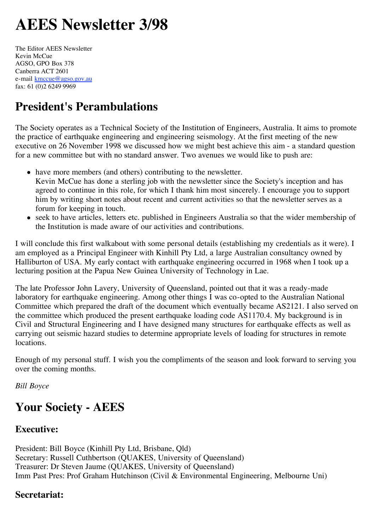# **AEES Newsletter 3/98**

The Editor AEES Newsletter Kevin McCue AGSO, GPO Box 378 Canberra ACT 2601 e-mail kmccue@agso.gov.au fax: 61 (0)2 6249 9969

### **President's Perambulations**

The Society operates as a Technical Society of the Institution of Engineers, Australia. It aims to promote the practice of earthquake engineering and engineering seismology. At the first meeting of the new executive on 26 November 1998 we discussed how we might best achieve this aim - a standard question for a new committee but with no standard answer. Two avenues we would like to push are:

- have more members (and others) contributing to the newsletter. Kevin McCue has done a sterling job with the newsletter since the Society's inception and has agreed to continue in this role, for which I thank him most sincerely. I encourage you to support him by writing short notes about recent and current activities so that the newsletter serves as a forum for keeping in touch.
- seek to have articles, letters etc. published in Engineers Australia so that the wider membership of the Institution is made aware of our activities and contributions.

I will conclude this first walkabout with some personal details (establishing my credentials as it were). I am employed as a Principal Engineer with Kinhill Pty Ltd, a large Australian consultancy owned by Halliburton of USA. My early contact with earthquake engineering occurred in 1968 when I took up a lecturing position at the Papua New Guinea University of Technology in Lae.

The late Professor John Lavery, University of Queensland, pointed out that it was a ready-made laboratory for earthquake engineering. Among other things  $\overline{I}$  was co-opted to the Australian National Committee which prepared the draft of the document which eventually became AS2121. I also served on the committee which produced the present earthquake loading code AS1170.4. My background is in Civil and Structural Engineering and I have designed many structures for earthquake effects as well as carrying out seismic hazard studies to determine appropriate levels of loading for structures in remote locations.

Enough of my personal stuff. I wish you the compliments of the season and look forward to serving you over the coming months.

*Bill Boyce*

# **Your Society - AEES**

### **Executive:**

President: Bill Boyce (Kinhill Pty Ltd, Brisbane, Qld) Secretary: Russell Cuthbertson (QUAKES, University of Queensland) Treasurer: Dr Steven Jaume (QUAKES, University of Queensland) Imm Past Pres: Prof Graham Hutchinson (Civil & Environmental Engineering, Melbourne Uni)

### **Secretariat:**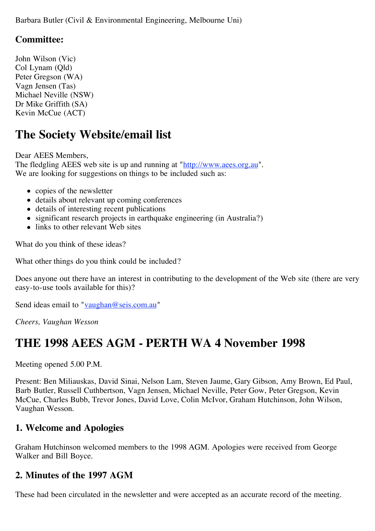Barbara Butler (Civil & Environmental Engineering, Melbourne Uni)

### **Committee:**

John Wilson (Vic) Col Lynam (Qld) Peter Gregson (WA) Vagn Jensen (Tas) Michael Neville (NSW) Dr Mike Griffith (SA) Kevin McCue (ACT)

### **The Society Website/email list**

Dear AEES Members, The fledgling AEES web site is up and running at "http://www.aees.org.au". We are looking for suggestions on things to be included such as:

- copies of the newsletter
- details about relevant up coming conferences
- details of interesting recent publications
- significant research projects in earthquake engineering (in Australia?)
- links to other relevant Web sites

What do you think of these ideas?

What other things do you think could be included?

Does anyone out there have an interest in contributing to the development of the Web site (there are very easy-to-use tools available for this)?

Send ideas email to "vaughan@seis.com.au"

*Cheers, Vaughan Wesson*

### **THE 1998 AEES AGM - PERTH WA 4 November 1998**

Meeting opened 5.00 P.M.

Present: Ben Miliauskas, David Sinai, Nelson Lam, Steven Jaume, Gary Gibson, Amy Brown, Ed Paul, Barb Butler, Russell Cuthbertson, Vagn Jensen, Michael Neville, Peter Gow, Peter Gregson, Kevin McCue, Charles Bubb, Trevor Jones, David Love, Colin McIvor, Graham Hutchinson, John Wilson, Vaughan Wesson.

#### **1. Welcome and Apologies**

Graham Hutchinson welcomed members to the 1998 AGM. Apologies were received from George Walker and Bill Boyce.

#### **2. Minutes of the 1997 AGM**

These had been circulated in the newsletter and were accepted as an accurate record of the meeting.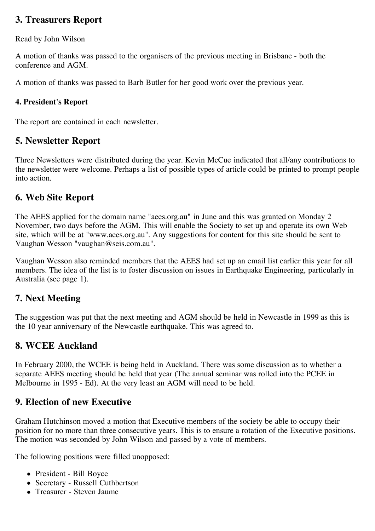### **3. Treasurers Report**

Read by John Wilson

A motion of thanks was passed to the organisers of the previous meeting in Brisbane - both the conference and AGM.

A motion of thanks was passed to Barb Butler for her good work over the previous year.

#### **4. President's Report**

The report are contained in each newsletter.

### **5. Newsletter Report**

Three Newsletters were distributed during the year. Kevin McCue indicated that all/any contributions to the newsletter were welcome. Perhaps a list of possible types of article could be printed to prompt people into action.

### **6. Web Site Report**

The AEES applied for the domain name "aees.org.au" in June and this was granted on Monday 2 November, two days before the AGM. This will enable the Society to set up and operate its own Web site, which will be at "www.aees.org.au". Any suggestions for content for this site should be sent to Vaughan Wesson "vaughan@seis.com.au".

Vaughan Wesson also reminded members that the AEES had set up an email list earlier this year for all members. The idea of the list is to foster discussion on issues in Earthquake Engineering, particularly in Australia (see page 1).

### **7. Next Meeting**

The suggestion was put that the next meeting and AGM should be held in Newcastle in 1999 as this is the 10 year anniversary of the Newcastle earthquake. This was agreed to.

### **8. WCEE Auckland**

In February 2000, the WCEE is being held in Auckland. There was some discussion as to whether a separate AEES meeting should be held that year (The annual seminar was rolled into the PCEE in Melbourne in 1995 - Ed). At the very least an AGM will need to be held.

### **9. Election of new Executive**

Graham Hutchinson moved a motion that Executive members of the society be able to occupy their position for no more than three consecutive years. This is to ensure a rotation of the Executive positions. The motion was seconded by John Wilson and passed by a vote of members.

The following positions were filled unopposed:

- President Bill Boyce
- Secretary Russell Cuthbertson
- Treasurer Steven Jaume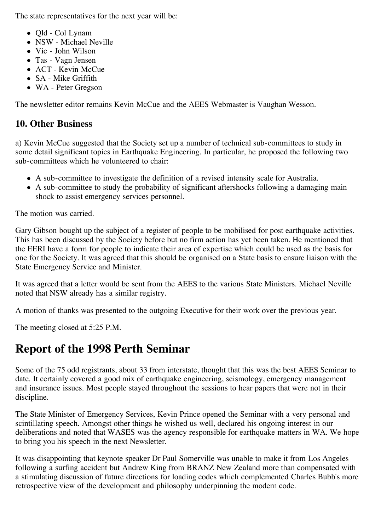The state representatives for the next year will be:

- Old Col Lynam
- NSW Michael Neville
- Vic John Wilson
- Tas Vagn Jensen
- ACT Kevin McCue
- SA Mike Griffith
- WA Peter Gregson

The newsletter editor remains Kevin McCue and the AEES Webmaster is Vaughan Wesson.

### **10. Other Business**

a) Kevin McCue suggested that the Society set up a number of technical sub-committees to study in some detail significant topics in Earthquake Engineering. In particular, he proposed the following two sub-committees which he volunteered to chair:

- A sub-committee to investigate the definition of a revised intensity scale for Australia.
- A sub-committee to study the probability of significant aftershocks following a damaging main shock to assist emergency services personnel.

The motion was carried.

Gary Gibson bought up the subject of a register of people to be mobilised for post earthquake activities. This has been discussed by the Society before but no firm action has yet been taken. He mentioned that the EERI have a form for people to indicate their area of expertise which could be used as the basis for one for the Society. It was agreed that this should be organised on a State basis to ensure liaison with the State Emergency Service and Minister.

It was agreed that a letter would be sent from the AEES to the various State Ministers. Michael Neville noted that NSW already has a similar registry.

A motion of thanks was presented to the outgoing Executive for their work over the previous year.

The meeting closed at 5:25 P.M.

## **Report of the 1998 Perth Seminar**

Some of the 75 odd registrants, about 33 from interstate, thought that this was the best AEES Seminar to date. It certainly covered a good mix of earthquake engineering, seismology, emergency management and insurance issues. Most people stayed throughout the sessions to hear papers that were not in their discipline.

The State Minister of Emergency Services, Kevin Prince opened the Seminar with a very personal and scintillating speech. Amongst other things he wished us well, declared his ongoing interest in our deliberations and noted that WASES was the agency responsible for earthquake matters in WA. We hope to bring you his speech in the next Newsletter.

It was disappointing that keynote speaker Dr Paul Somerville was unable to make it from Los Angeles following a surfing accident but Andrew King from BRANZ New Zealand more than compensated with a stimulating discussion of future directions for loading codes which complemented Charles Bubb's more retrospective view of the development and philosophy underpinning the modern code.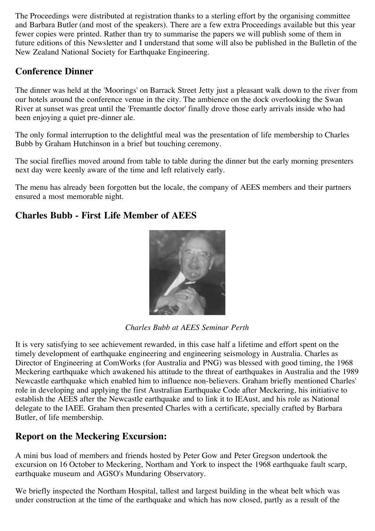The Proceedings were distributed at registration thanks to a sterling effort by the organising committee and Barbara Butler (and most of the speakers). There are a few extra Proceedings available but this year fewer copies were printed. Rather than try to summarise the papers we will publish some of them in future editions of this Newsletter and I understand that some will also be published in the Bulletin of the New Zealand National Society for Earthquake Engineering.

### **Conference Dinner**

The dinner was held at the 'Moorings' on Barrack Street Jetty just a pleasant walk down to the river from our hotels around the conference venue in the city. The ambience on the dock overlooking the Swan River at sunset was great until the 'Fremantle doctor' finally drove those early arrivals inside who had been enjoying a quiet pre-dinner ale.

The only formal interruption to the delightful meal was the presentation of life membership to Charles Bubb by Graham Hutchinson in a brief but touching ceremony.

The social fireflies moved around from table to table during the dinner but the early morning presenters next day were keenly aware of the time and left relatively early.

The menu has already been forgotten but the locale, the company of AEES members and their partners ensured a most memorable night.

### **Charles Bubb - First Life Member of AEES**



*Charles Bubb at AEES Seminar Perth*

It is very satisfying to see achievement rewarded, in this case half a lifetime and effort spent on the timely development of earthquake engineering and engineering seismology in Australia. Charles as Director of Engineering at ComWorks (for Australia and PNG) was blessed with good timing, the 1968 Meckering earthquake which awakened his attitude to the threat of earthquakes in Australia and the 1989 Newcastle earthquake which enabled him to influence non-believers. Graham briefly mentioned Charles' role in developing and applying the first Australian Earthquake Code after Meckering, his initiative to establish the AEES after the Newcastle earthquake and to link it to IEAust, and his role as National delegate to the IAEE. Graham then presented Charles with a certificate, specially crafted by Barbara Butler, of life membership.

### **Report on the Meckering Excursion:**

A mini bus load of members and friends hosted by Peter Gow and Peter Gregson undertook the excursion on 16 October to Meckering, Northam and York to inspect the 1968 earthquake fault scarp, earthquake museum and AGSO's Mundaring Observatory.

We briefly inspected the Northam Hospital, tallest and largest building in the wheat belt which was under construction at the time of the earthquake and which has now closed, partly as a result of the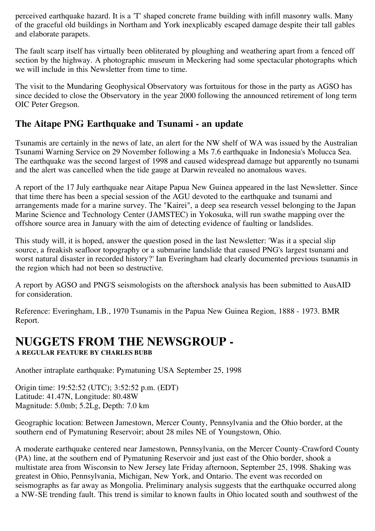perceived earthquake hazard. It is a 'T' shaped concrete frame building with infill masonry walls. Many of the graceful old buildings in Northam and York inexplicably escaped damage despite their tall gables and elaborate parapets.

The fault scarp itself has virtually been obliterated by ploughing and weathering apart from a fenced off section by the highway. A photographic museum in Meckering had some spectacular photographs which we will include in this Newsletter from time to time.

The visit to the Mundaring Geophysical Observatory was fortuitous for those in the party as AGSO has since decided to close the Observatory in the year 2000 following the announced retirement of long term OIC Peter Gregson.

### **The Aitape PNG Earthquake and Tsunami - an update**

Tsunamis are certainly in the news of late, an alert for the NW shelf of WA was issued by the Australian Tsunami Warning Service on 29 November following a Ms 7.6 earthquake in Indonesia's Molucca Sea. The earthquake was the second largest of 1998 and caused widespread damage but apparently no tsunami and the alert was cancelled when the tide gauge at Darwin revealed no anomalous waves.

A report of the 17 July earthquake near Aitape Papua New Guinea appeared in the last Newsletter. Since that time there has been a special session of the AGU devoted to the earthquake and tsunami and arrangements made for a marine survey. The "Kairei", a deep sea research vessel belonging to the Japan Marine Science and Technology Center (JAMSTEC) in Yokosuka, will run swathe mapping over the offshore source area in January with the aim of detecting evidence of faulting or landslides.

This study will, it is hoped, answer the question posed in the last Newsletter: 'Was it a special slip source, a freakish seafloor topography or a submarine landslide that caused PNG's largest tsunami and worst natural disaster in recorded history?' Ian Everingham had clearly documented previous tsunamis in the region which had not been so destructive.

A report by AGSO and PNG'S seismologists on the aftershock analysis has been submitted to AusAID for consideration.

Reference: Everingham, I.B., 1970 Tsunamis in the Papua New Guinea Region, 1888 - 1973. BMR Report.

## **NUGGETS FROM THE NEWSGROUP -**

**A REGULAR FEATURE BY CHARLES BUBB**

Another intraplate earthquake: Pymatuning USA September 25, 1998

Origin time: 19:52:52 (UTC); 3:52:52 p.m. (EDT) Latitude: 41.47N, Longitude: 80.48W Magnitude: 5.0mb; 5.2Lg, Depth: 7.0 km

Geographic location: Between Jamestown, Mercer County, Pennsylvania and the Ohio border, at the southern end of Pymatuning Reservoir; about 28 miles NE of Youngstown, Ohio.

A moderate earthquake centered near Jamestown, Pennsylvania, on the Mercer County-Crawford County (PA) line, at the southern end of Pymatuning Reservoir and just east of the Ohio border, shook a multistate area from Wisconsin to New Jersey late Friday afternoon, September 25, 1998. Shaking was greatest in Ohio, Pennsylvania, Michigan, New York, and Ontario. The event was recorded on seismographs as far away as Mongolia. Preliminary analysis suggests that the earthquake occurred along a NW-SE trending fault. This trend is similar to known faults in Ohio located south and southwest of the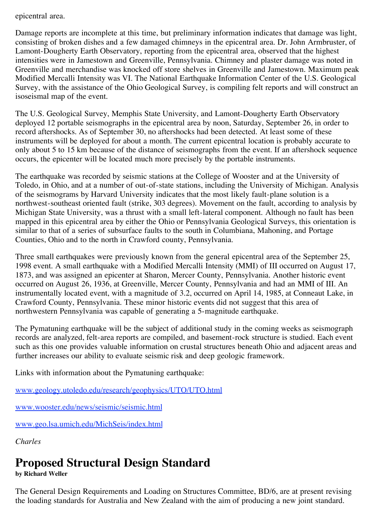epicentral area.

Damage reports are incomplete at this time, but preliminary information indicates that damage was light, consisting of broken dishes and a few damaged chimneys in the epicentral area. Dr. John Armbruster, of Lamont-Dougherty Earth Observatory, reporting from the epicentral area, observed that the highest intensities were in Jamestown and Greenville, Pennsylvania. Chimney and plaster damage was noted in Greenville and merchandise was knocked off store shelves in Greenville and Jamestown. Maximum peak Modified Mercalli Intensity was VI. The National Earthquake Information Center of the U.S. Geological Survey, with the assistance of the Ohio Geological Survey, is compiling felt reports and will construct an isoseismal map of the event.

The U.S. Geological Survey, Memphis State University, and Lamont-Dougherty Earth Observatory deployed 12 portable seismographs in the epicentral area by noon, Saturday, September 26, in order to record aftershocks. As of September 30, no aftershocks had been detected. At least some of these instruments will be deployed for about a month. The current epicentral location is probably accurate to only about 5 to 15 km because of the distance of seismographs from the event. If an aftershock sequence occurs, the epicenter will be located much more precisely by the portable instruments.

The earthquake was recorded by seismic stations at the College of Wooster and at the University of Toledo, in Ohio, and at a number of out-of-state stations, including the University of Michigan. Analysis of the seismograms by Harvard University indicates that the most likely fault-plane solution is a northwest-southeast oriented fault (strike, 303 degrees). Movement on the fault, according to analysis by Michigan State University, was a thrust with a small left-lateral component. Although no fault has been mapped in this epicentral area by either the Ohio or Pennsylvania Geological Surveys, this orientation is similar to that of a series of subsurface faults to the south in Columbiana, Mahoning, and Portage Counties, Ohio and to the north in Crawford county, Pennsylvania.

Three small earthquakes were previously known from the general epicentral area of the September 25, 1998 event. A small earthquake with a Modified Mercalli Intensity (MMI) of III occurred on August 17, 1873, and was assigned an epicenter at Sharon, Mercer County, Pennsylvania. Another historic event occurred on August 26, 1936, at Greenville, Mercer County, Pennsylvania and had an MMI of III. An instrumentally located event, with a magnitude of 3.2, occurred on April 14, 1985, at Conneaut Lake, in Crawford County, Pennsylvania. These minor historic events did not suggest that this area of northwestern Pennsylvania was capable of generating a 5-magnitude earthquake.

The Pymatuning earthquake will be the subject of additional study in the coming weeks as seismograph records are analyzed, felt-area reports are compiled, and basement-rock structure is studied. Each event such as this one provides valuable information on crustal structures beneath Ohio and adjacent areas and further increases our ability to evaluate seismic risk and deep geologic framework.

Links with information about the Pymatuning earthquake:

www.geology.utoledo.edu/research/geophysics/UTO/UTO.html

www.wooster.edu/news/seismic/seismic.html

www.geo.lsa.umich.edu/MichSeis/index.html

*Charles*

# **Proposed Structural Design Standard**

**by Richard Weller**

The General Design Requirements and Loading on Structures Committee, BD/6, are at present revising the loading standards for Australia and New Zealand with the aim of producing a new joint standard.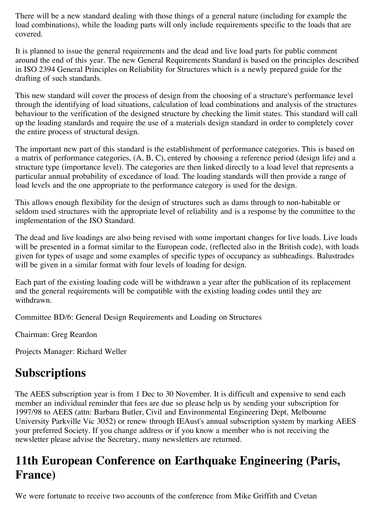There will be a new standard dealing with those things of a general nature (including for example the load combinations), while the loading parts will only include requirements specific to the loads that are covered.

It is planned to issue the general requirements and the dead and live load parts for public comment around the end of this year. The new General Requirements Standard is based on the principles described in ISO 2394 General Principles on Reliability for Structures which is a newly prepared guide for the drafting of such standards.

This new standard will cover the process of design from the choosing of a structure's performance level through the identifying of load situations, calculation of load combinations and analysis of the structures behaviour to the verification of the designed structure by checking the limit states. This standard will call up the loading standards and require the use of a materials design standard in order to completely cover the entire process of structural design.

The important new part of this standard is the establishment of performance categories. This is based on a matrix of performance categories, (A, B, C), entered by choosing a reference period (design life) and a structure type (importance level). The categories are then linked directly to a load level that represents a particular annual probability of excedance of load. The loading standards will then provide a range of load levels and the one appropriate to the performance category is used for the design.

This allows enough flexibility for the design of structures such as dams through to non-habitable or seldom used structures with the appropriate level of reliability and is a response by the committee to the implementation of the ISO Standard.

The dead and live loadings are also being revised with some important changes for live loads. Live loads will be presented in a format similar to the European code, (reflected also in the British code), with loads given for types of usage and some examples of specific types of occupancy as subheadings. Balustrades will be given in a similar format with four levels of loading for design.

Each part of the existing loading code will be withdrawn a year after the publication of its replacement and the general requirements will be compatible with the existing loading codes until they are withdrawn.

Committee BD/6: General Design Requirements and Loading on Structures

Chairman: Greg Reardon

Projects Manager: Richard Weller

## **Subscriptions**

The AEES subscription year is from 1 Dec to 30 November. It is difficult and expensive to send each member an individual reminder that fees are due so please help us by sending your subscription for 1997/98 to AEES (attn: Barbara Butler, Civil and Environmental Engineering Dept, Melbourne University Parkville Vic 3052) or renew through IEAust's annual subscription system by marking AEES your preferred Society. If you change address or if you know a member who is not receiving the newsletter please advise the Secretary, many newsletters are returned.

# **11th European Conference on Earthquake Engineering (Paris, France)**

We were fortunate to receive two accounts of the conference from Mike Griffith and Cvetan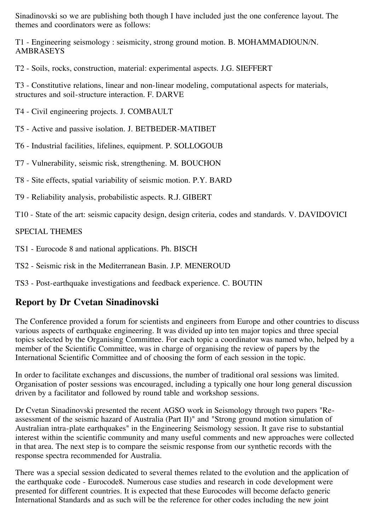Sinadinovski so we are publishing both though I have included just the one conference layout. The themes and coordinators were as follows:

T1 - Engineering seismology : seismicity, strong ground motion. B. MOHAMMADIOUN/N. AMBRASEYS

T2 - Soils, rocks, construction, material: experimental aspects. J.G. SIEFFERT

T3 - Constitutive relations, linear and non-linear modeling, computational aspects for materials, structures and soil-structure interaction. F. DARVE

- T4 Civil engineering projects. J. COMBAULT
- T5 Active and passive isolation. J. BETBEDER-MATIBET
- T6 Industrial facilities, lifelines, equipment. P. SOLLOGOUB
- T7 Vulnerability, seismic risk, strengthening. M. BOUCHON
- T8 Site effects, spatial variability of seismic motion. P.Y. BARD
- T9 Reliability analysis, probabilistic aspects. R.J. GIBERT
- T10 State of the art: seismic capacity design, design criteria, codes and standards. V. DAVIDOVICI

#### SPECIAL THEMES

TS1 - Eurocode 8 and national applications. Ph. BISCH

TS2 - Seismic risk in the Mediterranean Basin. J.P. MENEROUD

TS3 - Post-earthquake investigations and feedback experience. C. BOUTIN

### **Report by Dr Cvetan Sinadinovski**

The Conference provided a forum for scientists and engineers from Europe and other countries to discuss various aspects of earthquake engineering. It was divided up into ten major topics and three special topics selected by the Organising Committee. For each topic a coordinator was named who, helped by a member of the Scientific Committee, was in charge of organising the review of papers by the International Scientific Committee and of choosing the form of each session in the topic.

In order to facilitate exchanges and discussions, the number of traditional oral sessions was limited. Organisation of poster sessions was encouraged, including a typically one hour long general discussion driven by a facilitator and followed by round table and workshop sessions.

Dr Cvetan Sinadinovski presented the recent AGSO work in Seismology through two papers "Reassessment of the seismic hazard of Australia (Part II)" and "Strong ground motion simulation of Australian intra-plate earthquakes" in the Engineering Seismology session. It gave rise to substantial interest within the scientific community and many useful comments and new approaches were collected in that area. The next step is to compare the seismic response from our synthetic records with the response spectra recommended for Australia.

There was a special session dedicated to several themes related to the evolution and the application of the earthquake code - Eurocode8. Numerous case studies and research in code development were presented for different countries. It is expected that these Eurocodes will become defacto generic International Standards and as such will be the reference for other codes including the new joint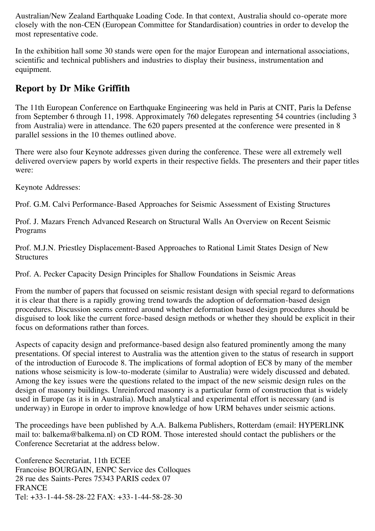Australian/New Zealand Earthquake Loading Code. In that context, Australia should co-operate more closely with the non-CEN (European Committee for Standardisation) countries in order to develop the most representative code.

In the exhibition hall some 30 stands were open for the major European and international associations, scientific and technical publishers and industries to display their business, instrumentation and equipment.

### **Report by Dr Mike Griffith**

The 11th European Conference on Earthquake Engineering was held in Paris at CNIT, Paris la Defense from September 6 through 11, 1998. Approximately 760 delegates representing 54 countries (including 3 from Australia) were in attendance. The 620 papers presented at the conference were presented in 8 parallel sessions in the 10 themes outlined above.

There were also four Keynote addresses given during the conference. These were all extremely well delivered overview papers by world experts in their respective fields. The presenters and their paper titles were:

Keynote Addresses:

Prof. G.M. Calvi Performance-Based Approaches for Seismic Assessment of Existing Structures

Prof. J. Mazars French Advanced Research on Structural Walls An Overview on Recent Seismic Programs

Prof. M.J.N. Priestley Displacement-Based Approaches to Rational Limit States Design of New **Structures** 

Prof. A. Pecker Capacity Design Principles for Shallow Foundations in Seismic Areas

From the number of papers that focussed on seismic resistant design with special regard to deformations it is clear that there is a rapidly growing trend towards the adoption of deformation-based design procedures. Discussion seems centred around whether deformation based design procedures should be disguised to look like the current force-based design methods or whether they should be explicit in their focus on deformations rather than forces.

Aspects of capacity design and preformance-based design also featured prominently among the many presentations. Of special interest to Australia was the attention given to the status of research in support of the introduction of Eurocode 8. The implications of formal adoption of EC8 by many of the member nations whose seismicity is low-to-moderate (similar to Australia) were widely discussed and debated. Among the key issues were the questions related to the impact of the new seismic design rules on the design of masonry buildings. Unreinforced masonry is a particular form of construction that is widely used in Europe (as it is in Australia). Much analytical and experimental effort is necessary (and is underway) in Europe in order to improve knowledge of how URM behaves under seismic actions.

The proceedings have been published by A.A. Balkema Publishers, Rotterdam (email: HYPERLINK mail to: balkema@balkema.nl) on CD ROM. Those interested should contact the publishers or the Conference Secretariat at the address below.

Conference Secretariat, 11th ECEE Francoise BOURGAIN, ENPC Service des Colloques 28 rue des Saints-Peres 75343 PARIS cedex 07 **FRANCE** Tel: +33-1-44-58-28-22 FAX: +33-1-44-58-28-30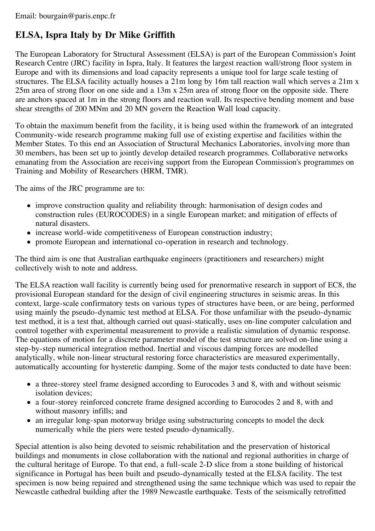### **ELSA, Ispra Italy by Dr Mike Griffith**

The European Laboratory for Structural Assessment (ELSA) is part of the European Commission's Joint Research Centre (JRC) facility in Ispra, Italy. It features the largest reaction wall/strong floor system in Europe and with its dimensions and load capacity represents a unique tool for large scale testing of structures. The ELSA facility actually houses a 21m long by 16m tall reaction wall which serves a 21m x 25m area of strong floor on one side and a 13m x 25m area of strong floor on the opposite side. There are anchors spaced at 1m in the strong floors and reaction wall. Its respective bending moment and base shear strengths of 200 MNm and 20 MN govern the Reaction Wall load capacity.

To obtain the maximum benefit from the facility, it is being used within the framework of an integrated Community-wide research programme making full use of existing expertise and facilities within the Member States. To this end an Association of Structural Mechanics Laboratories, involving more than 30 members, has been set up to jointly develop detailed research programmes. Collaborative networks emanating from the Association are receiving support from the European Commission's programmes on Training and Mobility of Researchers (HRM, TMR).

The aims of the JRC programme are to:

- improve construction quality and reliability through: harmonisation of design codes and construction rules (EUROCODES) in a single European market; and mitigation of effects of natural disasters.
- increase world-wide competitiveness of European construction industry;
- promote European and international co-operation in research and technology.

The third aim is one that Australian earthquake engineers (practitioners and researchers) might collectively wish to note and address.

The ELSA reaction wall facility is currently being used for prenormative research in support of EC8, the provisional European standard for the design of civil engineering structures in seismic areas. In this context, large-scale confirmatory tests on various types of structures have been, or are being, performed using mainly the pseudo-dynamic test method at ELSA. For those unfamiliar with the pseudo-dynamic test method, it is a test that, although carried out quasi-statically, uses on-line computer calculation and control together with experimental measurement to provide a realistic simulation of dynamic response. The equations of motion for a discrete parameter model of the test structure are solved on-line using a step-by-step numerical integration method. Inertial and viscous damping forces are modelled analytically, while non-linear structural restoring force characteristics are measured experimentally, automatically accounting for hysteretic damping. Some of the major tests conducted to date have been:

- a three-storey steel frame designed according to Eurocodes 3 and 8, with and without seismic isolation devices;
- a four-storey reinforced concrete frame designed according to Eurocodes 2 and 8, with and without masonry infills; and
- an irregular long-span motorway bridge using substructuring concepts to model the deck numerically while the piers were tested pseudo-dynamically.

Special attention is also being devoted to seismic rehabilitation and the preservation of historical buildings and monuments in close collaboration with the national and regional authorities in charge of the cultural heritage of Europe. To that end, a full-scale 2-D slice from a stone building of historical significance in Portugal has been built and pseudo-dynamically tested at the ELSA facility. The test specimen is now being repaired and strengthened using the same technique which was used to repair the Newcastle cathedral building after the 1989 Newcastle earthquake. Tests of the seismically retrofitted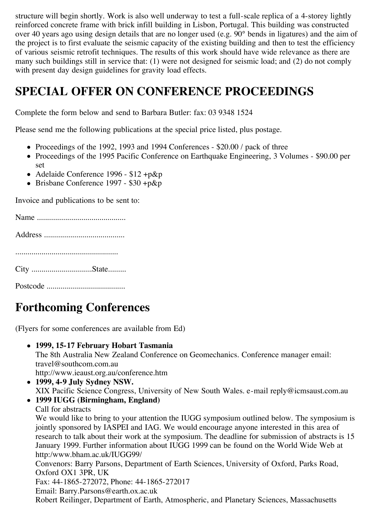structure will begin shortly. Work is also well underway to test a full-scale replica of a 4-storey lightly reinforced concrete frame with brick infill building in Lisbon, Portugal. This building was constructed over 40 years ago using design details that are no longer used (e.g. 90° bends in ligatures) and the aim of the project is to first evaluate the seismic capacity of the existing building and then to test the efficiency of various seismic retrofit techniques. The results of this work should have wide relevance as there are many such buildings still in service that: (1) were not designed for seismic load; and (2) do not comply with present day design guidelines for gravity load effects.

## **SPECIAL OFFER ON CONFERENCE PROCEEDINGS**

Complete the form below and send to Barbara Butler: fax: 03 9348 1524

Please send me the following publications at the special price listed, plus postage.

- Proceedings of the 1992, 1993 and 1994 Conferences \$20.00 / pack of three
- Proceedings of the 1995 Pacific Conference on Earthquake Engineering, 3 Volumes \$90.00 per set
- Adelaide Conference 1996 \$12 +p&p
- $\bullet$  Brisbane Conference 1997 \$30 +p&p

Invoice and publications to be sent to:

# **Forthcoming Conferences**

(Flyers for some conferences are available from Ed)

- **1999, 15-17 February Hobart Tasmania** The 8th Australia New Zealand Conference on Geomechanics. Conference manager email: travel@southcom.com.au http://www.ieaust.org.au/conference.htm
- **1999, 4-9 July Sydney NSW.** XIX Pacific Science Congress, University of New South Wales. e-mail reply@icmsaust.com.au
- **1999 IUGG (Birmingham, England)** Call for abstracts

We would like to bring to your attention the IUGG symposium outlined below. The symposium is jointly sponsored by IASPEI and IAG. We would encourage anyone interested in this area of research to talk about their work at the symposium. The deadline for submission of abstracts is 15 January 1999. Further information about IUGG 1999 can be found on the World Wide Web at http:/www.bham.ac.uk/IUGG99/

Convenors: Barry Parsons, Department of Earth Sciences, University of Oxford, Parks Road, Oxford OX1 3PR, UK

Fax: 44-1865-272072, Phone: 44-1865-272017

Email: Barry.Parsons@earth.ox.ac.uk

Robert Reilinger, Department of Earth, Atmospheric, and Planetary Sciences, Massachusetts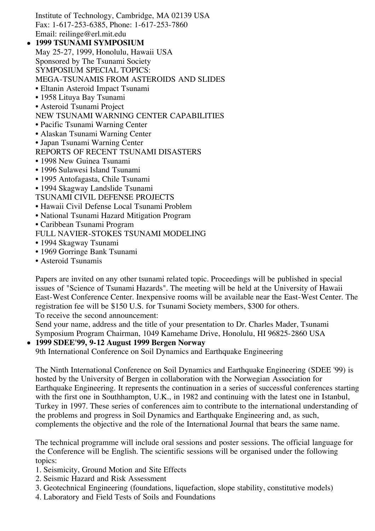Institute of Technology, Cambridge, MA 02139 USA Fax: 1-617-253-6385, Phone: 1-617-253-7860 Email: reilinge@erl.mit.edu

- **1999 TSUNAMI SYMPOSIUM** May 25-27, 1999, Honolulu, Hawaii USA Sponsored by The Tsunami Society SYMPOSIUM SPECIAL TOPICS: MEGA-TSUNAMIS FROM ASTEROIDS AND SLIDES • Eltanin Asteroid Impact Tsunami • 1958 Lituya Bay Tsunami • Asteroid Tsunami Project NEW TSUNAMI WARNING CENTER CAPABILITIES • Pacific Tsunami Warning Center • Alaskan Tsunami Warning Center • Japan Tsunami Warning Center REPORTS OF RECENT TSUNAMI DISASTERS • 1998 New Guinea Tsunami
	- 1996 Sulawesi Island Tsunami
	- 1995 Antofagasta, Chile Tsunami
	- 1994 Skagway Landslide Tsunami
	- TSUNAMI CIVIL DEFENSE PROJECTS
	- Hawaii Civil Defense Local Tsunami Problem
	- National Tsunami Hazard Mitigation Program
	- Caribbean Tsunami Program
	- FULL NAVIER-STOKES TSUNAMI MODELING
	- 1994 Skagway Tsunami
	- 1969 Gorringe Bank Tsunami
	- Asteroid Tsunamis

Papers are invited on any other tsunami related topic. Proceedings will be published in special issues of "Science of Tsunami Hazards". The meeting will be held at the University of Hawaii East-West Conference Center. Inexpensive rooms will be available near the East-West Center. The registration fee will be \$150 U.S. for Tsunami Society members, \$300 for others. To receive the second announcement:

Send your name, address and the title of your presentation to Dr. Charles Mader, Tsunami Symposium Program Chairman, 1049 Kamehame Drive, Honolulu, HI 96825-2860 USA

#### **1999 SDEE'99, 9-12 August 1999 Bergen Norway**

9th International Conference on Soil Dynamics and Earthquake Engineering

The Ninth International Conference on Soil Dynamics and Earthquake Engineering (SDEE '99) is hosted by the University of Bergen in collaboration with the Norwegian Association for Earthquake Engineering. It represents the continuation in a series of successful conferences starting with the first one in Southhampton, U.K., in 1982 and continuing with the latest one in Istanbul, Turkey in 1997. These series of conferences aim to contribute to the international understanding of the problems and progress in Soil Dynamics and Earthquake Engineering and, as such, complements the objective and the role of the International Journal that bears the same name.

The technical programme will include oral sessions and poster sessions. The official language for the Conference will be English. The scientific sessions will be organised under the following topics:

1. Seismicity, Ground Motion and Site Effects

- 2. Seismic Hazard and Risk Assessment
- 3. Geotechnical Engineering (foundations, liquefaction, slope stability, constitutive models)
- 4. Laboratory and Field Tests of Soils and Foundations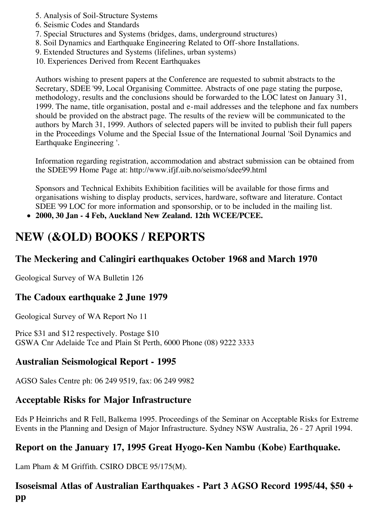- 5. Analysis of Soil-Structure Systems
- 6. Seismic Codes and Standards
- 7. Special Structures and Systems (bridges, dams, underground structures)
- 8. Soil Dynamics and Earthquake Engineering Related to Off-shore Installations.
- 9. Extended Structures and Systems (lifelines, urban systems)
- 10. Experiences Derived from Recent Earthquakes

Authors wishing to present papers at the Conference are requested to submit abstracts to the Secretary, SDEE '99, Local Organising Committee. Abstracts of one page stating the purpose, methodology, results and the conclusions should be forwarded to the LOC latest on January 31, 1999. The name, title organisation, postal and e-mail addresses and the telephone and fax numbers should be provided on the abstract page. The results of the review will be communicated to the authors by March 31, 1999. Authors of selected papers will be invited to publish their full papers in the Proceedings Volume and the Special Issue of the International Journal 'Soil Dynamics and Earthquake Engineering '.

Information regarding registration, accommodation and abstract submission can be obtained from the SDEE'99 Home Page at: http://www.ifjf.uib.no/seismo/sdee99.html

Sponsors and Technical Exhibits Exhibition facilities will be available for those firms and organisations wishing to display products, services, hardware, software and literature. Contact SDEE '99 LOC for more information and sponsorship, or to be included in the mailing list.

**2000, 30 Jan - 4 Feb, Auckland New Zealand. 12th WCEE/PCEE.**

## **NEW (&OLD) BOOKS / REPORTS**

#### **The Meckering and Calingiri earthquakes October 1968 and March 1970**

Geological Survey of WA Bulletin 126

### **The Cadoux earthquake 2 June 1979**

Geological Survey of WA Report No 11

Price \$31 and \$12 respectively. Postage \$10 GSWA Cnr Adelaide Tce and Plain St Perth, 6000 Phone (08) 9222 3333

#### **Australian Seismological Report - 1995**

AGSO Sales Centre ph: 06 249 9519, fax: 06 249 9982

#### **Acceptable Risks for Major Infrastructure**

Eds P Heinrichs and R Fell, Balkema 1995. Proceedings of the Seminar on Acceptable Risks for Extreme Events in the Planning and Design of Major Infrastructure. Sydney NSW Australia, 26 - 27 April 1994.

### **Report on the January 17, 1995 Great Hyogo-Ken Nambu (Kobe) Earthquake.**

Lam Pham & M Griffith. CSIRO DBCE 95/175(M).

### **Isoseismal Atlas of Australian Earthquakes - Part 3 AGSO Record 1995/44, \$50 + pp**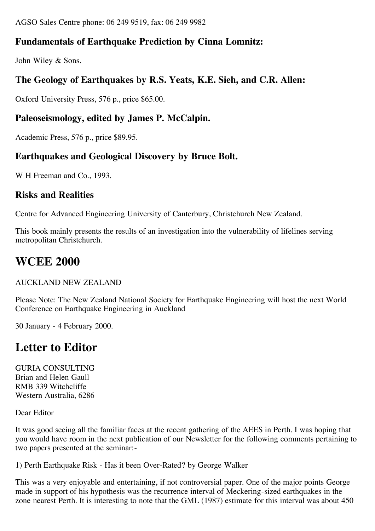AGSO Sales Centre phone: 06 249 9519, fax: 06 249 9982

### **Fundamentals of Earthquake Prediction by Cinna Lomnitz:**

John Wiley & Sons.

### **The Geology of Earthquakes by R.S. Yeats, K.E. Sieh, and C.R. Allen:**

Oxford University Press, 576 p., price \$65.00.

### **Paleoseismology, edited by James P. McCalpin.**

Academic Press, 576 p., price \$89.95.

#### **Earthquakes and Geological Discovery by Bruce Bolt.**

W H Freeman and Co., 1993.

#### **Risks and Realities**

Centre for Advanced Engineering University of Canterbury, Christchurch New Zealand.

This book mainly presents the results of an investigation into the vulnerability of lifelines serving metropolitan Christchurch.

### **WCEE 2000**

AUCKLAND NEW ZEALAND

Please Note: The New Zealand National Society for Earthquake Engineering will host the next World Conference on Earthquake Engineering in Auckland

30 January - 4 February 2000.

### **Letter to Editor**

GURIA CONSULTING Brian and Helen Gaull RMB 339 Witchcliffe Western Australia, 6286

Dear Editor

It was good seeing all the familiar faces at the recent gathering of the AEES in Perth. I was hoping that you would have room in the next publication of our Newsletter for the following comments pertaining to two papers presented at the seminar:-

1) Perth Earthquake Risk - Has it been Over-Rated? by George Walker

This was a very enjoyable and entertaining, if not controversial paper. One of the major points George made in support of his hypothesis was the recurrence interval of Meckering-sized earthquakes in the zone nearest Perth. It is interesting to note that the GML (1987) estimate for this interval was about 450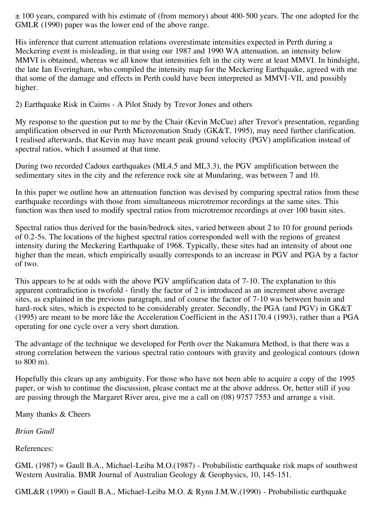$\pm$  100 years, compared with his estimate of (from memory) about 400-500 years. The one adopted for the GMLR (1990) paper was the lower end of the above range.

His inference that current attenuation relations overestimate intensities expected in Perth during a Meckering event is misleading, in that using our 1987 and 1990 WA attenuation, an intensity below MMVI is obtained, whereas we all know that intensities felt in the city were at least MMVI. In hindsight, the late Ian Everingham, who compiled the intensity map for the Meckering Earthquake, agreed with me that some of the damage and effects in Perth could have been interpreted as MMVI-VII, and possibly higher.

2) Earthquake Risk in Cairns - A Pilot Study by Trevor Jones and others

My response to the question put to me by the Chair (Kevin McCue) after Trevor's presentation, regarding amplification observed in our Perth Microzonation Study (GK&T, 1995), may need further clarification. I realised afterwards, that Kevin may have meant peak ground velocity (PGV) amplification instead of spectral ratios, which I assumed at that time.

During two recorded Cadoux earthquakes (ML4.5 and ML3.3), the PGV amplification between the sedimentary sites in the city and the reference rock site at Mundaring, was between 7 and 10.

In this paper we outline how an attenuation function was devised by comparing spectral ratios from these earthquake recordings with those from simultaneous microtremor recordings at the same sites. This function was then used to modify spectral ratios from microtremor recordings at over 100 basin sites.

Spectral ratios thus derived for the basin/bedrock sites, varied between about 2 to 10 for ground periods of 0.2-5s. The locations of the highest spectral ratios corresponded well with the regions of greatest intensity during the Meckering Earthquake of 1968. Typically, these sites had an intensity of about one higher than the mean, which empirically usually corresponds to an increase in PGV and PGA by a factor of two.

This appears to be at odds with the above PGV amplification data of 7-10. The explanation to this apparent contradiction is twofold - firstly the factor of 2 is introduced as an increment above average sites, as explained in the previous paragraph, and of course the factor of 7-10 was between basin and hard-rock sites, which is expected to be considerably greater. Secondly, the PGA (and PGV) in GK&T (1995) are meant to be more like the Acceleration Coefficient in the AS1170.4 (1993), rather than a PGA operating for one cycle over a very short duration.

The advantage of the technique we developed for Perth over the Nakamura Method, is that there was a strong correlation between the various spectral ratio contours with gravity and geological contours (down to 800 m).

Hopefully this clears up any ambiguity. For those who have not been able to acquire a copy of the 1995 paper, or wish to continue the discussion, please contact me at the above address. Or, better still if you are passing through the Margaret River area, give me a call on (08) 9757 7553 and arrange a visit.

Many thanks & Cheers

*Brian Gaull*

References:

GML (1987) = Gaull B.A., Michael-Leiba M.O.(1987) - Probabilistic earthquake risk maps of southwest Western Australia. BMR Journal of Australian Geology & Geophysics, 10, 145-151.

GML&R (1990) = Gaull B.A., Michael-Leiba M.O. & Rynn J.M.W.(1990) - Probabilistic earthquake